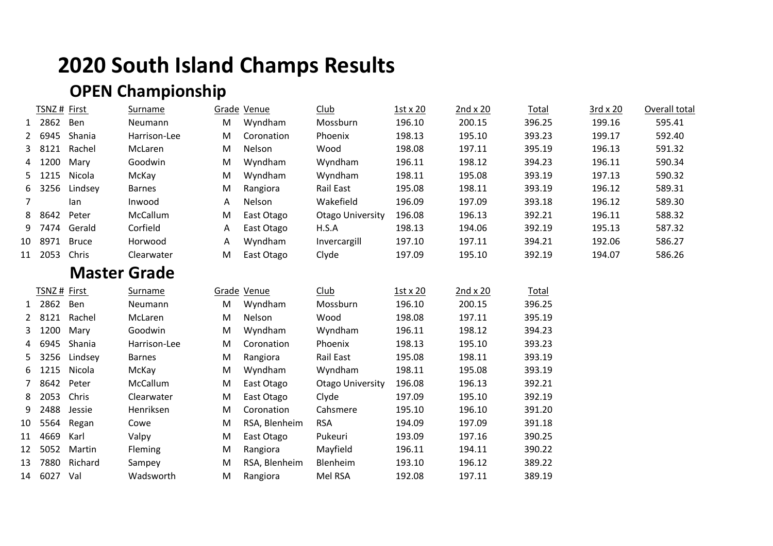# **2020 South Island Champs Results**

## **OPEN Championship**

|              | TSNZ# First |                     | <b>Surname</b> |   | Grade Venue   | <b>Club</b>             | 1st x 20 | 2nd x 20        | <b>Total</b> | 3rd x 20 | Overall total |
|--------------|-------------|---------------------|----------------|---|---------------|-------------------------|----------|-----------------|--------------|----------|---------------|
| $\mathbf{1}$ | 2862        | Ben                 | Neumann        | M | Wyndham       | Mossburn                | 196.10   | 200.15          | 396.25       | 199.16   | 595.41        |
|              | 6945        | Shania              | Harrison-Lee   | M | Coronation    | Phoenix                 | 198.13   | 195.10          | 393.23       | 199.17   | 592.40        |
| 3            | 8121        | Rachel              | McLaren        | M | Nelson        | Wood                    | 198.08   | 197.11          | 395.19       | 196.13   | 591.32        |
|              | 1200        | Mary                | Goodwin        | M | Wyndham       | Wyndham                 | 196.11   | 198.12          | 394.23       | 196.11   | 590.34        |
| 5.           | 1215        | Nicola              | McKay          | M | Wyndham       | Wyndham                 | 198.11   | 195.08          | 393.19       | 197.13   | 590.32        |
| 6            | 3256        | Lindsey             | <b>Barnes</b>  | M | Rangiora      | Rail East               | 195.08   | 198.11          | 393.19       | 196.12   | 589.31        |
| 7            |             | lan                 | Inwood         | A | Nelson        | Wakefield               | 196.09   | 197.09          | 393.18       | 196.12   | 589.30        |
| 8            | 8642        | Peter               | McCallum       | M | East Otago    | <b>Otago University</b> | 196.08   | 196.13          | 392.21       | 196.11   | 588.32        |
| 9            | 7474        | Gerald              | Corfield       | Α | East Otago    | H.S.A                   | 198.13   | 194.06          | 392.19       | 195.13   | 587.32        |
| 10           | 8971        | <b>Bruce</b>        | Horwood        | Α | Wyndham       | Invercargill            | 197.10   | 197.11          | 394.21       | 192.06   | 586.27        |
| 11           | 2053        | Chris               | Clearwater     | M | East Otago    | Clyde                   | 197.09   | 195.10          | 392.19       | 194.07   | 586.26        |
|              |             | <b>Master Grade</b> |                |   |               |                         |          |                 |              |          |               |
|              | TSNZ# First |                     | <b>Surname</b> |   | Grade Venue   | <b>Club</b>             | 1st x 20 | $2nd \times 20$ | <b>Total</b> |          |               |
| $\mathbf{1}$ | 2862        | Ben                 | Neumann        | M | Wyndham       | Mossburn                | 196.10   | 200.15          | 396.25       |          |               |
|              | 8121        | Rachel              | McLaren        | M | Nelson        | Wood                    | 198.08   | 197.11          | 395.19       |          |               |
| 3            | 1200        | Mary                | Goodwin        | M | Wyndham       | Wyndham                 | 196.11   | 198.12          | 394.23       |          |               |
| 4            | 6945        | Shania              | Harrison-Lee   | M | Coronation    | Phoenix                 | 198.13   | 195.10          | 393.23       |          |               |
| 5.           |             | 3256 Lindsey        | <b>Barnes</b>  | M | Rangiora      | Rail East               | 195.08   | 198.11          | 393.19       |          |               |
| 6            | 1215        | Nicola              | McKay          | M | Wyndham       | Wyndham                 | 198.11   | 195.08          | 393.19       |          |               |
|              | 8642        | Peter               | McCallum       | M | East Otago    | <b>Otago University</b> | 196.08   | 196.13          | 392.21       |          |               |
| 8            | 2053        | Chris               | Clearwater     | M | East Otago    | Clyde                   | 197.09   | 195.10          | 392.19       |          |               |
| 9            | 2488        | Jessie              | Henriksen      | M | Coronation    | Cahsmere                | 195.10   | 196.10          | 391.20       |          |               |
| 10           | 5564        | Regan               | Cowe           | M | RSA, Blenheim | <b>RSA</b>              | 194.09   | 197.09          | 391.18       |          |               |
| 11           | 4669        | Karl                | Valpy          | M | East Otago    | Pukeuri                 | 193.09   | 197.16          | 390.25       |          |               |
| 12           | 5052        | Martin              | Fleming        | M | Rangiora      | Mayfield                | 196.11   | 194.11          | 390.22       |          |               |
| 13           | 7880        | Richard             | Sampey         | M | RSA, Blenheim | Blenheim                | 193.10   | 196.12          | 389.22       |          |               |
| 14           | 6027 Val    |                     | Wadsworth      | M | Rangiora      | Mel RSA                 | 192.08   | 197.11          | 389.19       |          |               |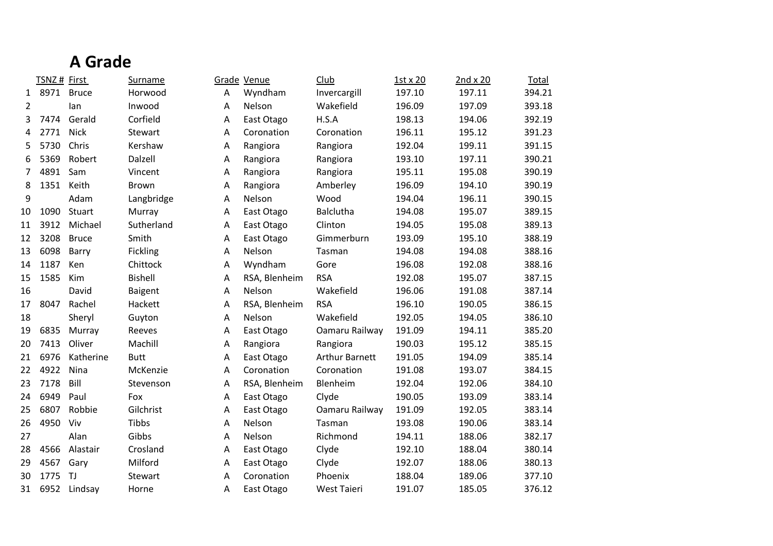## **A Grade**

|              | TSNZ# First |              | Surname        |   | Grade Venue   | Club                  | 1st x 20 | 2nd x 20 | Total  |
|--------------|-------------|--------------|----------------|---|---------------|-----------------------|----------|----------|--------|
| $\mathbf{1}$ | 8971        | <b>Bruce</b> | Horwood        | A | Wyndham       | Invercargill          | 197.10   | 197.11   | 394.21 |
| 2            |             | lan          | Inwood         | Α | Nelson        | Wakefield             | 196.09   | 197.09   | 393.18 |
| 3            | 7474        | Gerald       | Corfield       | Α | East Otago    | H.S.A                 | 198.13   | 194.06   | 392.19 |
| 4            | 2771        | <b>Nick</b>  | Stewart        | A | Coronation    | Coronation            | 196.11   | 195.12   | 391.23 |
| 5.           | 5730        | Chris        | Kershaw        | Α | Rangiora      | Rangiora              | 192.04   | 199.11   | 391.15 |
| 6            | 5369        | Robert       | Dalzell        | Α | Rangiora      | Rangiora              | 193.10   | 197.11   | 390.21 |
| 7            | 4891        | Sam          | Vincent        | Α | Rangiora      | Rangiora              | 195.11   | 195.08   | 390.19 |
| 8            | 1351        | Keith        | <b>Brown</b>   | Α | Rangiora      | Amberley              | 196.09   | 194.10   | 390.19 |
| 9            |             | Adam         | Langbridge     | Α | Nelson        | Wood                  | 194.04   | 196.11   | 390.15 |
| 10           | 1090        | Stuart       | Murray         | Α | East Otago    | <b>Balclutha</b>      | 194.08   | 195.07   | 389.15 |
| 11           | 3912        | Michael      | Sutherland     | Α | East Otago    | Clinton               | 194.05   | 195.08   | 389.13 |
| 12           | 3208        | <b>Bruce</b> | Smith          | Α | East Otago    | Gimmerburn            | 193.09   | 195.10   | 388.19 |
| 13           | 6098        | Barry        | Fickling       | Α | Nelson        | Tasman                | 194.08   | 194.08   | 388.16 |
| 14           | 1187        | Ken          | Chittock       | Α | Wyndham       | Gore                  | 196.08   | 192.08   | 388.16 |
| 15           | 1585        | Kim          | <b>Bishell</b> | Α | RSA, Blenheim | <b>RSA</b>            | 192.08   | 195.07   | 387.15 |
| 16           |             | David        | Baigent        | A | Nelson        | Wakefield             | 196.06   | 191.08   | 387.14 |
| 17           | 8047        | Rachel       | Hackett        | Α | RSA, Blenheim | <b>RSA</b>            | 196.10   | 190.05   | 386.15 |
| 18           |             | Sheryl       | Guyton         | Α | Nelson        | Wakefield             | 192.05   | 194.05   | 386.10 |
| 19           | 6835        | Murray       | Reeves         | Α | East Otago    | Oamaru Railway        | 191.09   | 194.11   | 385.20 |
| 20           | 7413        | Oliver       | Machill        | Α | Rangiora      | Rangiora              | 190.03   | 195.12   | 385.15 |
| 21           | 6976        | Katherine    | <b>Butt</b>    | Α | East Otago    | <b>Arthur Barnett</b> | 191.05   | 194.09   | 385.14 |
| 22           | 4922        | Nina         | McKenzie       | A | Coronation    | Coronation            | 191.08   | 193.07   | 384.15 |
| 23           | 7178        | Bill         | Stevenson      | Α | RSA, Blenheim | Blenheim              | 192.04   | 192.06   | 384.10 |
| 24           | 6949        | Paul         | Fox            | Α | East Otago    | Clyde                 | 190.05   | 193.09   | 383.14 |
| 25           | 6807        | Robbie       | Gilchrist      | Α | East Otago    | Oamaru Railway        | 191.09   | 192.05   | 383.14 |
| 26           | 4950        | Viv          | Tibbs          | Α | Nelson        | Tasman                | 193.08   | 190.06   | 383.14 |
| 27           |             | Alan         | Gibbs          | A | Nelson        | Richmond              | 194.11   | 188.06   | 382.17 |
| 28           | 4566        | Alastair     | Crosland       | Α | East Otago    | Clyde                 | 192.10   | 188.04   | 380.14 |
| 29           | 4567        | Gary         | Milford        | Α | East Otago    | Clyde                 | 192.07   | 188.06   | 380.13 |
| 30           | 1775        | TJ           | Stewart        | Α | Coronation    | Phoenix               | 188.04   | 189.06   | 377.10 |
| 31           |             | 6952 Lindsay | Horne          | A | East Otago    | <b>West Taieri</b>    | 191.07   | 185.05   | 376.12 |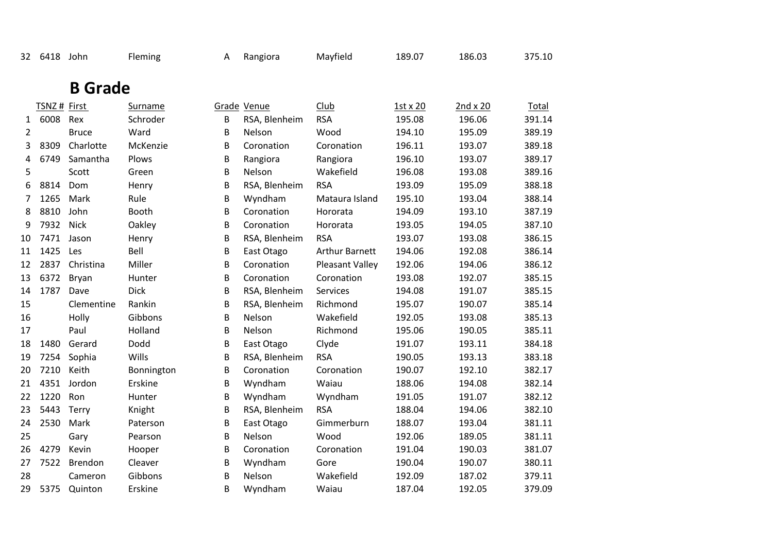| 32             | 6418 John    |                | Fleming        | A | Rangiora      | Mayfield               | 189.07   | 186.03          | 375.10 |
|----------------|--------------|----------------|----------------|---|---------------|------------------------|----------|-----------------|--------|
|                |              | <b>B</b> Grade |                |   |               |                        |          |                 |        |
|                | TSNZ # First |                | <b>Surname</b> |   | Grade Venue   | Club                   | 1st x 20 | $2nd \times 20$ | Total  |
| 1              | 6008         | Rex            | Schroder       | B | RSA, Blenheim | <b>RSA</b>             | 195.08   | 196.06          | 391.14 |
| $\overline{2}$ |              | <b>Bruce</b>   | Ward           | B | Nelson        | Wood                   | 194.10   | 195.09          | 389.19 |
| 3              | 8309         | Charlotte      | McKenzie       | B | Coronation    | Coronation             | 196.11   | 193.07          | 389.18 |
| 4              | 6749         | Samantha       | Plows          | B | Rangiora      | Rangiora               | 196.10   | 193.07          | 389.17 |
| 5              |              | Scott          | Green          | B | Nelson        | Wakefield              | 196.08   | 193.08          | 389.16 |
| 6              | 8814         | Dom            | Henry          | B | RSA, Blenheim | <b>RSA</b>             | 193.09   | 195.09          | 388.18 |
| 7              | 1265         | Mark           | Rule           | B | Wyndham       | Mataura Island         | 195.10   | 193.04          | 388.14 |
| 8              | 8810         | John           | Booth          | B | Coronation    | Hororata               | 194.09   | 193.10          | 387.19 |
| 9              | 7932         | <b>Nick</b>    | Oakley         | B | Coronation    | Hororata               | 193.05   | 194.05          | 387.10 |
| 10             | 7471         | Jason          | Henry          | B | RSA, Blenheim | <b>RSA</b>             | 193.07   | 193.08          | 386.15 |
| 11             | 1425         | Les            | Bell           | B | East Otago    | <b>Arthur Barnett</b>  | 194.06   | 192.08          | 386.14 |
| 12             | 2837         | Christina      | Miller         | B | Coronation    | <b>Pleasant Valley</b> | 192.06   | 194.06          | 386.12 |
| 13             | 6372         | Bryan          | Hunter         | B | Coronation    | Coronation             | 193.08   | 192.07          | 385.15 |
| 14             | 1787         | Dave           | <b>Dick</b>    | B | RSA, Blenheim | Services               | 194.08   | 191.07          | 385.15 |
| 15             |              | Clementine     | Rankin         | B | RSA, Blenheim | Richmond               | 195.07   | 190.07          | 385.14 |
| 16             |              | Holly          | Gibbons        | B | Nelson        | Wakefield              | 192.05   | 193.08          | 385.13 |
| 17             |              | Paul           | Holland        | B | Nelson        | Richmond               | 195.06   | 190.05          | 385.11 |
| 18             | 1480         | Gerard         | Dodd           | B | East Otago    | Clyde                  | 191.07   | 193.11          | 384.18 |
| 19             | 7254         | Sophia         | Wills          | B | RSA, Blenheim | <b>RSA</b>             | 190.05   | 193.13          | 383.18 |
| 20             | 7210         | Keith          | Bonnington     | B | Coronation    | Coronation             | 190.07   | 192.10          | 382.17 |
| 21             | 4351         | Jordon         | Erskine        | B | Wyndham       | Waiau                  | 188.06   | 194.08          | 382.14 |
| 22             | 1220         | Ron            | Hunter         | B | Wyndham       | Wyndham                | 191.05   | 191.07          | 382.12 |
| 23             | 5443         | Terry          | Knight         | B | RSA, Blenheim | <b>RSA</b>             | 188.04   | 194.06          | 382.10 |
| 24             | 2530         | Mark           | Paterson       | B | East Otago    | Gimmerburn             | 188.07   | 193.04          | 381.11 |
| 25             |              | Gary           | Pearson        | B | Nelson        | Wood                   | 192.06   | 189.05          | 381.11 |
| 26             | 4279         | Kevin          | Hooper         | B | Coronation    | Coronation             | 191.04   | 190.03          | 381.07 |
| 27             | 7522         | Brendon        | Cleaver        | B | Wyndham       | Gore                   | 190.04   | 190.07          | 380.11 |
| 28             |              | Cameron        | Gibbons        | B | Nelson        | Wakefield              | 192.09   | 187.02          | 379.11 |
| 29             | 5375         | Quinton        | Erskine        | B | Wyndham       | Waiau                  | 187.04   | 192.05          | 379.09 |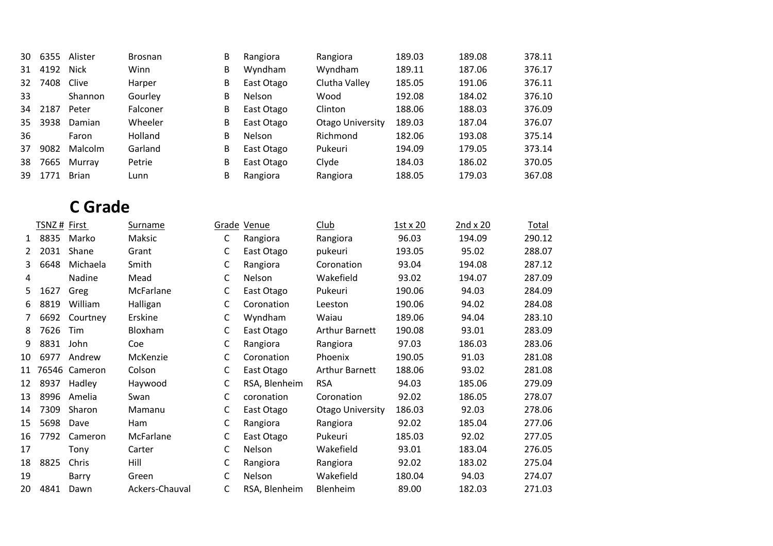| 30 | 6355        | Alister       | <b>Brosnan</b> | B | Rangiora                        | Rangiora                | 189.03   | 189.08     | 378.11        |
|----|-------------|---------------|----------------|---|---------------------------------|-------------------------|----------|------------|---------------|
| 31 | 4192        | <b>Nick</b>   | Winn           | B | Wyndham                         | Wyndham                 | 189.11   | 187.06     | 376.17        |
| 32 | 7408        | Clive         | Harper         | B | East Otago                      | Clutha Valley           | 185.05   | 191.06     | 376.11        |
| 33 |             | Shannon       | Gourley        | B | Nelson<br>Wood                  |                         | 192.08   | 184.02     | 376.10        |
| 34 | 2187        | Peter         | Falconer       | B | East Otago                      | Clinton                 | 188.06   | 188.03     | 376.09        |
| 35 | 3938        | Damian        | Wheeler        | B | East Otago                      | <b>Otago University</b> | 189.03   | 187.04     | 376.07        |
| 36 |             | Faron         | Holland        | B | Nelson                          | Richmond                | 182.06   | 193.08     | 375.14        |
| 37 | 9082        | Malcolm       | Garland        | B | East Otago                      | Pukeuri                 | 194.09   | 179.05     | 373.14        |
| 38 | 7665        | Murray        | Petrie         | B | Clyde<br>East Otago             |                         | 184.03   | 186.02     | 370.05        |
| 39 | 1771        | <b>Brian</b>  | Lunn           | B | Rangiora                        | Rangiora                | 188.05   | 179.03     | 367.08        |
|    |             |               |                |   |                                 |                         |          |            |               |
|    |             | C Grade       |                |   |                                 |                         |          |            |               |
|    | TSNZ# First |               | Surname        |   | Club<br>Grade Venue             |                         | 1st x 20 | 2nd $x$ 20 | <b>Total</b>  |
| 1  | 8835        | Marko         | Maksic         | C | Rangiora                        | Rangiora                | 96.03    | 194.09     | 290.12        |
| 2  | 2031        | Shane         | Grant          | C | East Otago                      | pukeuri                 | 193.05   | 95.02      | 288.07        |
| 3  | 6648        | Michaela      | Smith          | C | Rangiora                        | Coronation              | 93.04    | 194.08     | 287.12        |
| 4  |             | Nadine        | Mead           | C | Nelson                          | Wakefield               | 93.02    | 194.07     | 287.09        |
| 5  | 1627        | Greg          | McFarlane      | C | East Otago                      | Pukeuri                 | 190.06   | 94.03      | 284.09        |
| 6  | 8819        | William       | Halligan       | C | Coronation                      | Leeston                 | 190.06   | 94.02      | 284.08        |
|    | 6692        | Courtney      | Erskine        | C | Wyndham<br>Waiau                |                         | 189.06   | 94.04      | 283.10        |
| 8  | 7626        | Tim           | Bloxham        | C | East Otago                      | <b>Arthur Barnett</b>   | 190.08   | 93.01      | 283.09        |
| 9  | 8831        | John          | Coe            | C | Rangiora                        | Rangiora                | 97.03    | 186.03     | 283.06        |
| 10 | 6977        | Andrew        | McKenzie       | C | Coronation                      | Phoenix                 | 190.05   | 91.03      | 281.08        |
| 11 |             | 76516 Compron | Colcon         | C | $E \sim + \Omega + \gamma \sim$ | Arthur Dornott          | 1000C    | רח כח      | <b>201.00</b> |

| x  | 7626 | <b>Tim</b>       | Bloxham    | East Otago    | Arthur Barnett        | 190.08 | 93.01  | 283.09 |
|----|------|------------------|------------|---------------|-----------------------|--------|--------|--------|
| 9. | 8831 | John             | Coe        | Rangiora      | Rangiora              | 97.03  | 186.03 | 283.06 |
| 10 | 6977 | Andrew           | McKenzie   | Coronation    | Phoenix               | 190.05 | 91.03  | 281.08 |
|    |      | 11 76546 Cameron | Colson     | East Otago    | <b>Arthur Barnett</b> | 188.06 | 93.02  | 281.08 |
| 12 | 8937 | Hadley           | Haywood    | RSA, Blenheim | <b>RSA</b>            | 94.03  | 185.06 | 279.09 |
| 13 | 8996 | Amelia           | Swan       | coronation    | Coronation            | 92.02  | 186.05 | 278.07 |
| 14 | 7309 | Sharon           | Mamanu     | East Otago    | Otago University      | 186.03 | 92.03  | 278.06 |
| 15 | 5698 | Dave             | <b>Ham</b> | Rangiora      | Rangiora              | 92.02  | 185.04 | 277.06 |
| 16 |      | 7792 Cameron     | McFarlane  | East Otago    | Pukeuri               | 185.03 | 92.02  | 277.05 |
| 17 |      | Tonv             | Carter     | <b>Nelson</b> | Wakefield             | 93.01  | 183.04 | 276.05 |
| 18 | 8825 | Chris            | Hill       | Rangiora      | Rangiora              | 92.02  | 183.02 | 275.04 |
| 19 |      | Barry            | Green      | <b>Nelson</b> | Wakefield             | 180.04 | 94.03  | 274.07 |

4841 Dawn Ackers-Chauval C RSA, Blenheim Blenheim 89.00 182.03 271.03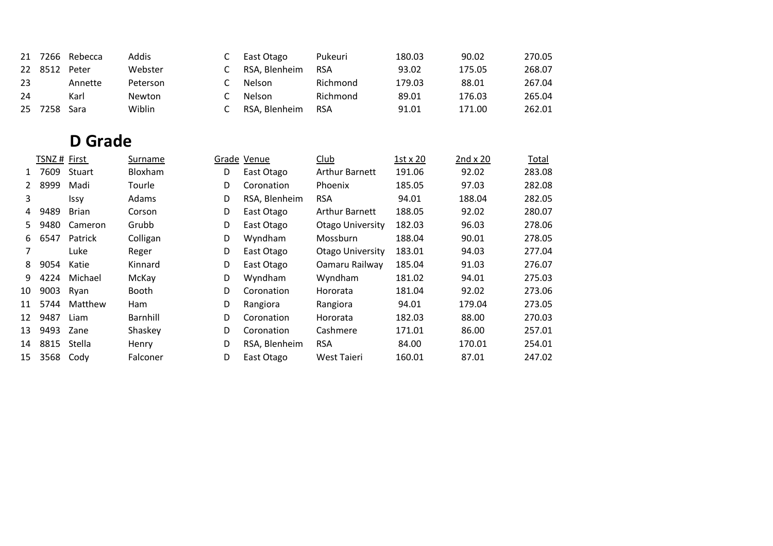| 21 | 7266        | Rebecca        | Addis      | C | East Otago    | Pukeuri                 | 180.03          | 90.02           | 270.05       |
|----|-------------|----------------|------------|---|---------------|-------------------------|-----------------|-----------------|--------------|
| 22 | 8512        | Peter          | Webster    | C | RSA, Blenheim | <b>RSA</b>              | 93.02           | 175.05          | 268.07       |
| 23 |             | Annette        | Peterson   | C | Nelson        | Richmond                | 179.03          | 88.01           | 267.04       |
| 24 |             | Karl           | Newton     | С | Nelson        | Richmond                | 89.01           | 176.03          | 265.04       |
|    |             |                |            |   |               |                         |                 |                 |              |
| 25 | 7258        | Sara           | Wiblin     | С | RSA, Blenheim | <b>RSA</b>              | 91.01           | 171.00          | 262.01       |
|    |             |                |            |   |               |                         |                 |                 |              |
|    |             | <b>D</b> Grade |            |   |               |                         |                 |                 |              |
|    | TSNZ# First |                | Surname    |   | Grade Venue   | <b>Club</b>             | $1st \times 20$ | $2nd \times 20$ | <b>Total</b> |
| 1  | 7609        | Stuart         | Bloxham    | D | East Otago    | <b>Arthur Barnett</b>   | 191.06          | 92.02           | 283.08       |
| 2  | 8999        | Madi           | Tourle     | D | Coronation    | Phoenix                 | 185.05          | 97.03           | 282.08       |
| 3  |             | Issy           | Adams      | D | RSA, Blenheim | <b>RSA</b>              | 94.01           | 188.04          | 282.05       |
| 4  | 9489        | <b>Brian</b>   | Corson     | D | East Otago    | <b>Arthur Barnett</b>   | 188.05          | 92.02           | 280.07       |
| 5. | 9480        | Cameron        | Grubb      | D | East Otago    | <b>Otago University</b> | 182.03          | 96.03           | 278.06       |
| 6  | 6547        | Patrick        | Colligan   | D | Wyndham       | Mossburn                | 188.04          | 90.01           | 278.05       |
| 7  |             | Luke           | Reger      | D | East Otago    | <b>Otago University</b> | 183.01          | 94.03           | 277.04       |
| 8  | 9054        | Katie          | Kinnard    | D | East Otago    | Oamaru Railway          | 185.04          | 91.03           | 276.07       |
| 9  | 4224        | Michael        | McKay      | D | Wyndham       | Wyndham                 | 181.02          | 94.01           | 275.03       |
| 10 | 9003        | Ryan           | Booth      | D | Coronation    | Hororata                | 181.04          | 92.02           | 273.06       |
| 11 | 5744        | Matthew        | <b>Ham</b> | D | Rangiora      | Rangiora                | 94.01           | 179.04          | 273.05       |
| 12 | 9487        | Liam           | Barnhill   | D | Coronation    | Hororata                | 182.03          | 88.00           | 270.03       |
| 13 | 9493        | Zane           | Shaskey    | D | Coronation    | Cashmere                | 171.01          | 86.00           | 257.01       |
| 14 | 8815        | Stella         | Henry      | D | RSA, Blenheim | <b>RSA</b>              | 84.00           | 170.01          | 254.01       |
| 15 | 3568        | Cody           | Falconer   | D | East Otago    | <b>West Taieri</b>      | 160.01          | 87.01           | 247.02       |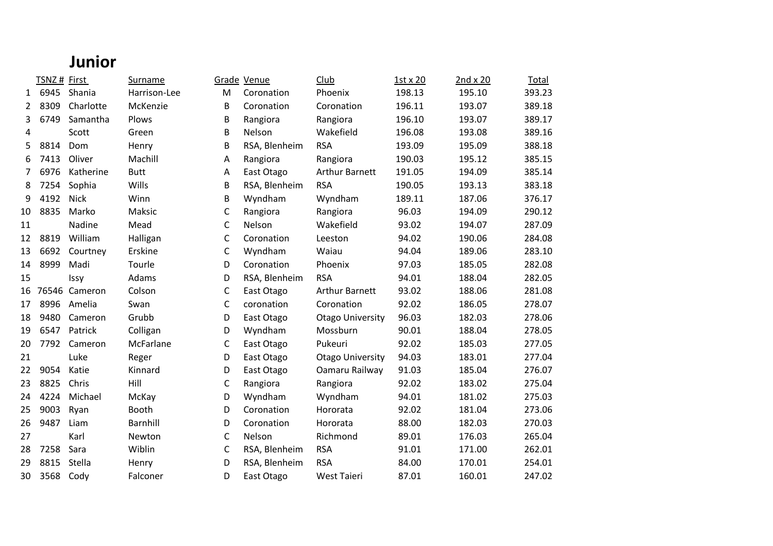#### **Junior**

|                | TSNZ# First |               | Surname      |   | Grade Venue   | Club                    | 1st x 20 | 2nd x 20 | Total  |
|----------------|-------------|---------------|--------------|---|---------------|-------------------------|----------|----------|--------|
| $\mathbf{1}$   | 6945        | Shania        | Harrison-Lee | M | Coronation    | Phoenix                 | 198.13   | 195.10   | 393.23 |
| $\overline{2}$ | 8309        | Charlotte     | McKenzie     | B | Coronation    | Coronation              | 196.11   | 193.07   | 389.18 |
| 3              | 6749        | Samantha      | Plows        | B | Rangiora      | Rangiora                | 196.10   | 193.07   | 389.17 |
| 4              |             | Scott         | Green        | B | Nelson        | Wakefield               | 196.08   | 193.08   | 389.16 |
| 5              | 8814        | Dom           | Henry        | B | RSA, Blenheim | <b>RSA</b>              | 193.09   | 195.09   | 388.18 |
| 6              | 7413        | Oliver        | Machill      | Α | Rangiora      | Rangiora                | 190.03   | 195.12   | 385.15 |
| $\overline{7}$ | 6976        | Katherine     | <b>Butt</b>  | Α | East Otago    | <b>Arthur Barnett</b>   | 191.05   | 194.09   | 385.14 |
| 8              | 7254        | Sophia        | Wills        | B | RSA, Blenheim | <b>RSA</b>              | 190.05   | 193.13   | 383.18 |
| 9              | 4192        | <b>Nick</b>   | Winn         | B | Wyndham       | Wyndham                 | 189.11   | 187.06   | 376.17 |
| 10             | 8835        | Marko         | Maksic       | C | Rangiora      | Rangiora                | 96.03    | 194.09   | 290.12 |
| 11             |             | Nadine        | Mead         | C | Nelson        | Wakefield               | 93.02    | 194.07   | 287.09 |
| 12             | 8819        | William       | Halligan     | C | Coronation    | Leeston                 | 94.02    | 190.06   | 284.08 |
| 13             | 6692        | Courtney      | Erskine      | C | Wyndham       | Waiau                   | 94.04    | 189.06   | 283.10 |
| 14             | 8999        | Madi          | Tourle       | D | Coronation    | Phoenix                 | 97.03    | 185.05   | 282.08 |
| 15             |             | Issy          | Adams        | D | RSA, Blenheim | <b>RSA</b>              | 94.01    | 188.04   | 282.05 |
| 16             |             | 76546 Cameron | Colson       | C | East Otago    | <b>Arthur Barnett</b>   | 93.02    | 188.06   | 281.08 |
| 17             | 8996        | Amelia        | Swan         | C | coronation    | Coronation              | 92.02    | 186.05   | 278.07 |
| 18             | 9480        | Cameron       | Grubb        | D | East Otago    | <b>Otago University</b> | 96.03    | 182.03   | 278.06 |
| 19             | 6547        | Patrick       | Colligan     | D | Wyndham       | Mossburn                | 90.01    | 188.04   | 278.05 |
| 20             | 7792        | Cameron       | McFarlane    | C | East Otago    | Pukeuri                 | 92.02    | 185.03   | 277.05 |
| 21             |             | Luke          | Reger        | D | East Otago    | <b>Otago University</b> | 94.03    | 183.01   | 277.04 |
| 22             | 9054        | Katie         | Kinnard      | D | East Otago    | Oamaru Railway          | 91.03    | 185.04   | 276.07 |
| 23             | 8825        | Chris         | Hill         | C | Rangiora      | Rangiora                | 92.02    | 183.02   | 275.04 |
| 24             | 4224        | Michael       | McKay        | D | Wyndham       | Wyndham                 | 94.01    | 181.02   | 275.03 |
| 25             | 9003        | Ryan          | Booth        | D | Coronation    | Hororata                | 92.02    | 181.04   | 273.06 |
| 26             | 9487        | Liam          | Barnhill     | D | Coronation    | Hororata                | 88.00    | 182.03   | 270.03 |
| 27             |             | Karl          | Newton       | С | Nelson        | Richmond                | 89.01    | 176.03   | 265.04 |
| 28             | 7258        | Sara          | Wiblin       | C | RSA, Blenheim | <b>RSA</b>              | 91.01    | 171.00   | 262.01 |
| 29             | 8815        | Stella        | Henry        | D | RSA, Blenheim | <b>RSA</b>              | 84.00    | 170.01   | 254.01 |
| 30             | 3568        | Cody          | Falconer     | D | East Otago    | West Taieri             | 87.01    | 160.01   | 247.02 |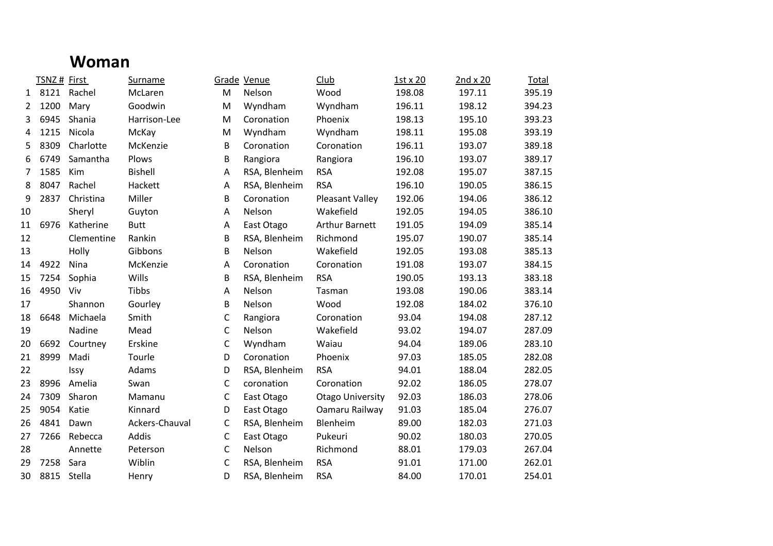#### **Woman**

|              | TSNZ# First |             | <b>Surname</b> |             | Grade Venue   | Club                    | 1st x 20 | $2nd \times 20$ | Total  |
|--------------|-------------|-------------|----------------|-------------|---------------|-------------------------|----------|-----------------|--------|
| $\mathbf{1}$ |             | 8121 Rachel | McLaren        | M           | Nelson        | Wood                    | 198.08   | 197.11          | 395.19 |
| 2            | 1200        | Mary        | Goodwin        | M           | Wyndham       | Wyndham                 | 196.11   | 198.12          | 394.23 |
| 3            | 6945        | Shania      | Harrison-Lee   | M           | Coronation    | Phoenix                 | 198.13   | 195.10          | 393.23 |
| 4            | 1215        | Nicola      | McKay          | M           | Wyndham       | Wyndham                 | 198.11   | 195.08          | 393.19 |
| 5            | 8309        | Charlotte   | McKenzie       | В           | Coronation    | Coronation              | 196.11   | 193.07          | 389.18 |
| 6            | 6749        | Samantha    | Plows          | В           | Rangiora      | Rangiora                | 196.10   | 193.07          | 389.17 |
| 7            | 1585        | Kim         | <b>Bishell</b> | A           | RSA, Blenheim | <b>RSA</b>              | 192.08   | 195.07          | 387.15 |
| 8            | 8047        | Rachel      | Hackett        | Α           | RSA, Blenheim | <b>RSA</b>              | 196.10   | 190.05          | 386.15 |
| 9            | 2837        | Christina   | Miller         | В           | Coronation    | <b>Pleasant Valley</b>  | 192.06   | 194.06          | 386.12 |
| 10           |             | Sheryl      | Guyton         | Α           | Nelson        | Wakefield               | 192.05   | 194.05          | 386.10 |
| 11           | 6976        | Katherine   | <b>Butt</b>    | Α           | East Otago    | <b>Arthur Barnett</b>   | 191.05   | 194.09          | 385.14 |
| 12           |             | Clementine  | Rankin         | В           | RSA, Blenheim | Richmond                | 195.07   | 190.07          | 385.14 |
| 13           |             | Holly       | Gibbons        | В           | Nelson        | Wakefield               | 192.05   | 193.08          | 385.13 |
| 14           | 4922        | Nina        | McKenzie       | Α           | Coronation    | Coronation              | 191.08   | 193.07          | 384.15 |
| 15           | 7254        | Sophia      | Wills          | В           | RSA, Blenheim | <b>RSA</b>              | 190.05   | 193.13          | 383.18 |
| 16           | 4950        | Viv         | Tibbs          | Α           | Nelson        | Tasman                  | 193.08   | 190.06          | 383.14 |
| 17           |             | Shannon     | Gourley        | В           | Nelson        | Wood                    | 192.08   | 184.02          | 376.10 |
| 18           | 6648        | Michaela    | Smith          | C           | Rangiora      | Coronation              | 93.04    | 194.08          | 287.12 |
| 19           |             | Nadine      | Mead           | С           | Nelson        | Wakefield               | 93.02    | 194.07          | 287.09 |
| 20           | 6692        | Courtney    | Erskine        | С           | Wyndham       | Waiau                   | 94.04    | 189.06          | 283.10 |
| 21           | 8999        | Madi        | Tourle         | D           | Coronation    | Phoenix                 | 97.03    | 185.05          | 282.08 |
| 22           |             | Issy        | Adams          | D           | RSA, Blenheim | <b>RSA</b>              | 94.01    | 188.04          | 282.05 |
| 23           | 8996        | Amelia      | Swan           | C           | coronation    | Coronation              | 92.02    | 186.05          | 278.07 |
| 24           | 7309        | Sharon      | Mamanu         | C           | East Otago    | <b>Otago University</b> | 92.03    | 186.03          | 278.06 |
| 25           | 9054        | Katie       | Kinnard        | D           | East Otago    | Oamaru Railway          | 91.03    | 185.04          | 276.07 |
| 26           | 4841        | Dawn        | Ackers-Chauval | C           | RSA, Blenheim | Blenheim                | 89.00    | 182.03          | 271.03 |
| 27           | 7266        | Rebecca     | Addis          | $\mathsf C$ | East Otago    | Pukeuri                 | 90.02    | 180.03          | 270.05 |
| 28           |             | Annette     | Peterson       | C           | Nelson        | Richmond                | 88.01    | 179.03          | 267.04 |
| 29           | 7258        | Sara        | Wiblin         | C           | RSA, Blenheim | <b>RSA</b>              | 91.01    | 171.00          | 262.01 |
| 30           | 8815        | Stella      | Henry          | D           | RSA, Blenheim | <b>RSA</b>              | 84.00    | 170.01          | 254.01 |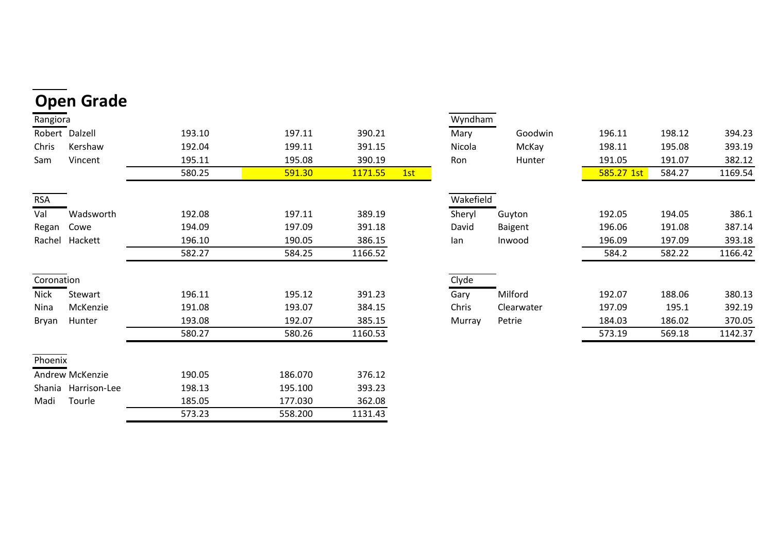|              | <b>Open Grade</b>   |        |         |         |     |           |            |            |        |         |
|--------------|---------------------|--------|---------|---------|-----|-----------|------------|------------|--------|---------|
| Rangiora     |                     |        |         |         |     | Wyndham   |            |            |        |         |
|              | Robert Dalzell      | 193.10 | 197.11  | 390.21  |     | Mary      | Goodwin    | 196.11     | 198.12 | 394.23  |
| Chris        | Kershaw             | 192.04 | 199.11  | 391.15  |     | Nicola    | McKay      | 198.11     | 195.08 | 393.19  |
| Sam          | Vincent             | 195.11 | 195.08  | 390.19  |     | Ron       | Hunter     | 191.05     | 191.07 | 382.12  |
|              |                     | 580.25 | 591.30  | 1171.55 | 1st |           |            | 585.27 1st | 584.27 | 1169.54 |
| <b>RSA</b>   |                     |        |         |         |     | Wakefield |            |            |        |         |
| Val          | Wadsworth           | 192.08 | 197.11  | 389.19  |     | Sheryl    | Guyton     | 192.05     | 194.05 | 386.1   |
| Regan        | Cowe                | 194.09 | 197.09  | 391.18  |     | David     | Baigent    | 196.06     | 191.08 | 387.14  |
|              | Rachel Hackett      | 196.10 | 190.05  | 386.15  |     | lan       | Inwood     | 196.09     | 197.09 | 393.18  |
|              |                     | 582.27 | 584.25  | 1166.52 |     |           |            | 584.2      | 582.22 | 1166.42 |
| Coronation   |                     |        |         |         |     | Clyde     |            |            |        |         |
| <b>Nick</b>  | Stewart             | 196.11 | 195.12  | 391.23  |     | Gary      | Milford    | 192.07     | 188.06 | 380.13  |
| Nina         | McKenzie            | 191.08 | 193.07  | 384.15  |     | Chris     | Clearwater | 197.09     | 195.1  | 392.19  |
| <b>Bryan</b> | Hunter              | 193.08 | 192.07  | 385.15  |     | Murray    | Petrie     | 184.03     | 186.02 | 370.05  |
|              |                     | 580.27 | 580.26  | 1160.53 |     |           |            | 573.19     | 569.18 | 1142.37 |
| Phoenix      |                     |        |         |         |     |           |            |            |        |         |
|              | Andrew McKenzie     | 190.05 | 186.070 | 376.12  |     |           |            |            |        |         |
|              | Shania Harrison-Lee | 198.13 | 195.100 | 393.23  |     |           |            |            |        |         |
| Madi         | Tourle              | 185.05 | 177.030 | 362.08  |     |           |            |            |        |         |
|              |                     | 573.23 | 558.200 | 1131.43 |     |           |            |            |        |         |